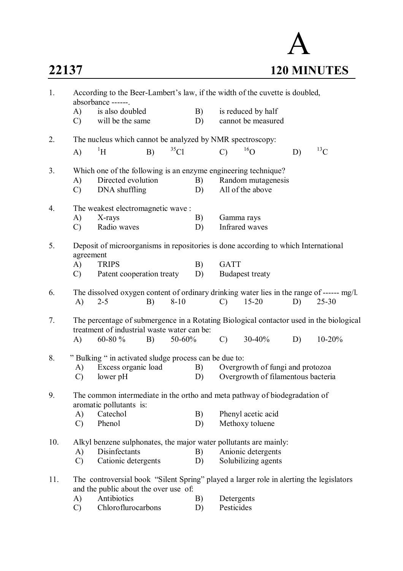## A **22137 120 MINUTES**

| B)<br>A)<br>is also doubled<br>is reduced by half<br>will be the same<br>cannot be measured<br>$\mathcal{C}$<br>D)<br>The nucleus which cannot be analyzed by NMR spectroscopy:<br>2.<br>$^{13}$ C<br>35Cl<br>$^{16}$ O<br>$\rm ^1H$<br>B)<br>$\mathbf{A}$<br>$\mathcal{C}$<br>D)<br>Which one of the following is an enzyme engineering technique?<br>3.<br>Directed evolution<br>Random mutagenesis<br>A)<br>B)<br>All of the above<br>DNA shuffling<br>$\mathcal{C}$<br>D)<br>The weakest electromagnetic wave:<br>4.<br>A)<br>X-rays<br>B)<br>Gamma rays<br>Infrared waves<br>Radio waves<br>$\mathcal{C}$<br>D)<br>5.<br>Deposit of microorganisms in repositories is done according to which International<br>agreement<br><b>GATT</b><br>A)<br><b>TRIPS</b><br>B)<br>Patent cooperation treaty<br><b>Budapest treaty</b><br>$\mathcal{C}$<br>D)<br>The dissolved oxygen content of ordinary drinking water lies in the range of ------ mg/l.<br>6.<br>$8 - 10$<br>$15 - 20$<br>$25 - 30$<br>A)<br>$2 - 5$<br>B)<br>D)<br>$\mathcal{C}$<br>7.<br>The percentage of submergence in a Rotating Biological contactor used in the biological<br>treatment of industrial waste water can be:<br>$\mathcal{C}$<br>30-40%<br>$10 - 20%$<br>A)<br>60-80 %<br>50-60%<br>D)<br>B)<br>8.<br>"Bulking " in activated sludge process can be due to:<br>Excess organic load<br>B)<br>Overgrowth of fungi and protozoa<br>A)<br>lower pH<br>Overgrowth of filamentous bacteria<br>$\mathcal{C}$<br>D)<br>9.<br>The common intermediate in the ortho and meta pathway of biodegradation of<br>aromatic pollutants is:<br>Catechol<br>Phenyl acetic acid<br>A)<br>B)<br>Phenol<br>D)<br>Methoxy toluene<br>$\mathcal{C}$<br>Alkyl benzene sulphonates, the major water pollutants are mainly:<br>10.<br>Disinfectants<br>Anionic detergents<br>B)<br>A)<br>Cationic detergents<br>Solubilizing agents<br>D)<br>$\mathcal{C}$<br>The controversial book "Silent Spring" played a larger role in alerting the legislators<br>11.<br>and the public about the over use of:<br>Antibiotics<br>A)<br>Detergents<br>B)<br>Chloroflurocarbons<br>Pesticides<br>$\mathcal{C}$<br>D) | 1. | According to the Beer-Lambert's law, if the width of the cuvette is doubled,<br>absorbance ------. |  |  |  |  |  |
|------------------------------------------------------------------------------------------------------------------------------------------------------------------------------------------------------------------------------------------------------------------------------------------------------------------------------------------------------------------------------------------------------------------------------------------------------------------------------------------------------------------------------------------------------------------------------------------------------------------------------------------------------------------------------------------------------------------------------------------------------------------------------------------------------------------------------------------------------------------------------------------------------------------------------------------------------------------------------------------------------------------------------------------------------------------------------------------------------------------------------------------------------------------------------------------------------------------------------------------------------------------------------------------------------------------------------------------------------------------------------------------------------------------------------------------------------------------------------------------------------------------------------------------------------------------------------------------------------------------------------------------------------------------------------------------------------------------------------------------------------------------------------------------------------------------------------------------------------------------------------------------------------------------------------------------------------------------------------------------------------------------------------------------------------------------------------------------------------------------------------------------------------------------|----|----------------------------------------------------------------------------------------------------|--|--|--|--|--|
|                                                                                                                                                                                                                                                                                                                                                                                                                                                                                                                                                                                                                                                                                                                                                                                                                                                                                                                                                                                                                                                                                                                                                                                                                                                                                                                                                                                                                                                                                                                                                                                                                                                                                                                                                                                                                                                                                                                                                                                                                                                                                                                                                                  |    |                                                                                                    |  |  |  |  |  |
|                                                                                                                                                                                                                                                                                                                                                                                                                                                                                                                                                                                                                                                                                                                                                                                                                                                                                                                                                                                                                                                                                                                                                                                                                                                                                                                                                                                                                                                                                                                                                                                                                                                                                                                                                                                                                                                                                                                                                                                                                                                                                                                                                                  |    |                                                                                                    |  |  |  |  |  |
|                                                                                                                                                                                                                                                                                                                                                                                                                                                                                                                                                                                                                                                                                                                                                                                                                                                                                                                                                                                                                                                                                                                                                                                                                                                                                                                                                                                                                                                                                                                                                                                                                                                                                                                                                                                                                                                                                                                                                                                                                                                                                                                                                                  |    |                                                                                                    |  |  |  |  |  |
|                                                                                                                                                                                                                                                                                                                                                                                                                                                                                                                                                                                                                                                                                                                                                                                                                                                                                                                                                                                                                                                                                                                                                                                                                                                                                                                                                                                                                                                                                                                                                                                                                                                                                                                                                                                                                                                                                                                                                                                                                                                                                                                                                                  |    |                                                                                                    |  |  |  |  |  |
|                                                                                                                                                                                                                                                                                                                                                                                                                                                                                                                                                                                                                                                                                                                                                                                                                                                                                                                                                                                                                                                                                                                                                                                                                                                                                                                                                                                                                                                                                                                                                                                                                                                                                                                                                                                                                                                                                                                                                                                                                                                                                                                                                                  |    |                                                                                                    |  |  |  |  |  |
|                                                                                                                                                                                                                                                                                                                                                                                                                                                                                                                                                                                                                                                                                                                                                                                                                                                                                                                                                                                                                                                                                                                                                                                                                                                                                                                                                                                                                                                                                                                                                                                                                                                                                                                                                                                                                                                                                                                                                                                                                                                                                                                                                                  |    |                                                                                                    |  |  |  |  |  |
|                                                                                                                                                                                                                                                                                                                                                                                                                                                                                                                                                                                                                                                                                                                                                                                                                                                                                                                                                                                                                                                                                                                                                                                                                                                                                                                                                                                                                                                                                                                                                                                                                                                                                                                                                                                                                                                                                                                                                                                                                                                                                                                                                                  |    |                                                                                                    |  |  |  |  |  |
|                                                                                                                                                                                                                                                                                                                                                                                                                                                                                                                                                                                                                                                                                                                                                                                                                                                                                                                                                                                                                                                                                                                                                                                                                                                                                                                                                                                                                                                                                                                                                                                                                                                                                                                                                                                                                                                                                                                                                                                                                                                                                                                                                                  |    |                                                                                                    |  |  |  |  |  |
|                                                                                                                                                                                                                                                                                                                                                                                                                                                                                                                                                                                                                                                                                                                                                                                                                                                                                                                                                                                                                                                                                                                                                                                                                                                                                                                                                                                                                                                                                                                                                                                                                                                                                                                                                                                                                                                                                                                                                                                                                                                                                                                                                                  |    |                                                                                                    |  |  |  |  |  |
|                                                                                                                                                                                                                                                                                                                                                                                                                                                                                                                                                                                                                                                                                                                                                                                                                                                                                                                                                                                                                                                                                                                                                                                                                                                                                                                                                                                                                                                                                                                                                                                                                                                                                                                                                                                                                                                                                                                                                                                                                                                                                                                                                                  |    |                                                                                                    |  |  |  |  |  |
|                                                                                                                                                                                                                                                                                                                                                                                                                                                                                                                                                                                                                                                                                                                                                                                                                                                                                                                                                                                                                                                                                                                                                                                                                                                                                                                                                                                                                                                                                                                                                                                                                                                                                                                                                                                                                                                                                                                                                                                                                                                                                                                                                                  |    |                                                                                                    |  |  |  |  |  |
|                                                                                                                                                                                                                                                                                                                                                                                                                                                                                                                                                                                                                                                                                                                                                                                                                                                                                                                                                                                                                                                                                                                                                                                                                                                                                                                                                                                                                                                                                                                                                                                                                                                                                                                                                                                                                                                                                                                                                                                                                                                                                                                                                                  |    |                                                                                                    |  |  |  |  |  |
|                                                                                                                                                                                                                                                                                                                                                                                                                                                                                                                                                                                                                                                                                                                                                                                                                                                                                                                                                                                                                                                                                                                                                                                                                                                                                                                                                                                                                                                                                                                                                                                                                                                                                                                                                                                                                                                                                                                                                                                                                                                                                                                                                                  |    |                                                                                                    |  |  |  |  |  |
|                                                                                                                                                                                                                                                                                                                                                                                                                                                                                                                                                                                                                                                                                                                                                                                                                                                                                                                                                                                                                                                                                                                                                                                                                                                                                                                                                                                                                                                                                                                                                                                                                                                                                                                                                                                                                                                                                                                                                                                                                                                                                                                                                                  |    |                                                                                                    |  |  |  |  |  |
|                                                                                                                                                                                                                                                                                                                                                                                                                                                                                                                                                                                                                                                                                                                                                                                                                                                                                                                                                                                                                                                                                                                                                                                                                                                                                                                                                                                                                                                                                                                                                                                                                                                                                                                                                                                                                                                                                                                                                                                                                                                                                                                                                                  |    |                                                                                                    |  |  |  |  |  |
|                                                                                                                                                                                                                                                                                                                                                                                                                                                                                                                                                                                                                                                                                                                                                                                                                                                                                                                                                                                                                                                                                                                                                                                                                                                                                                                                                                                                                                                                                                                                                                                                                                                                                                                                                                                                                                                                                                                                                                                                                                                                                                                                                                  |    |                                                                                                    |  |  |  |  |  |
|                                                                                                                                                                                                                                                                                                                                                                                                                                                                                                                                                                                                                                                                                                                                                                                                                                                                                                                                                                                                                                                                                                                                                                                                                                                                                                                                                                                                                                                                                                                                                                                                                                                                                                                                                                                                                                                                                                                                                                                                                                                                                                                                                                  |    |                                                                                                    |  |  |  |  |  |
|                                                                                                                                                                                                                                                                                                                                                                                                                                                                                                                                                                                                                                                                                                                                                                                                                                                                                                                                                                                                                                                                                                                                                                                                                                                                                                                                                                                                                                                                                                                                                                                                                                                                                                                                                                                                                                                                                                                                                                                                                                                                                                                                                                  |    |                                                                                                    |  |  |  |  |  |
|                                                                                                                                                                                                                                                                                                                                                                                                                                                                                                                                                                                                                                                                                                                                                                                                                                                                                                                                                                                                                                                                                                                                                                                                                                                                                                                                                                                                                                                                                                                                                                                                                                                                                                                                                                                                                                                                                                                                                                                                                                                                                                                                                                  |    |                                                                                                    |  |  |  |  |  |
|                                                                                                                                                                                                                                                                                                                                                                                                                                                                                                                                                                                                                                                                                                                                                                                                                                                                                                                                                                                                                                                                                                                                                                                                                                                                                                                                                                                                                                                                                                                                                                                                                                                                                                                                                                                                                                                                                                                                                                                                                                                                                                                                                                  |    |                                                                                                    |  |  |  |  |  |
|                                                                                                                                                                                                                                                                                                                                                                                                                                                                                                                                                                                                                                                                                                                                                                                                                                                                                                                                                                                                                                                                                                                                                                                                                                                                                                                                                                                                                                                                                                                                                                                                                                                                                                                                                                                                                                                                                                                                                                                                                                                                                                                                                                  |    |                                                                                                    |  |  |  |  |  |
|                                                                                                                                                                                                                                                                                                                                                                                                                                                                                                                                                                                                                                                                                                                                                                                                                                                                                                                                                                                                                                                                                                                                                                                                                                                                                                                                                                                                                                                                                                                                                                                                                                                                                                                                                                                                                                                                                                                                                                                                                                                                                                                                                                  |    |                                                                                                    |  |  |  |  |  |
|                                                                                                                                                                                                                                                                                                                                                                                                                                                                                                                                                                                                                                                                                                                                                                                                                                                                                                                                                                                                                                                                                                                                                                                                                                                                                                                                                                                                                                                                                                                                                                                                                                                                                                                                                                                                                                                                                                                                                                                                                                                                                                                                                                  |    |                                                                                                    |  |  |  |  |  |
|                                                                                                                                                                                                                                                                                                                                                                                                                                                                                                                                                                                                                                                                                                                                                                                                                                                                                                                                                                                                                                                                                                                                                                                                                                                                                                                                                                                                                                                                                                                                                                                                                                                                                                                                                                                                                                                                                                                                                                                                                                                                                                                                                                  |    |                                                                                                    |  |  |  |  |  |
|                                                                                                                                                                                                                                                                                                                                                                                                                                                                                                                                                                                                                                                                                                                                                                                                                                                                                                                                                                                                                                                                                                                                                                                                                                                                                                                                                                                                                                                                                                                                                                                                                                                                                                                                                                                                                                                                                                                                                                                                                                                                                                                                                                  |    |                                                                                                    |  |  |  |  |  |
|                                                                                                                                                                                                                                                                                                                                                                                                                                                                                                                                                                                                                                                                                                                                                                                                                                                                                                                                                                                                                                                                                                                                                                                                                                                                                                                                                                                                                                                                                                                                                                                                                                                                                                                                                                                                                                                                                                                                                                                                                                                                                                                                                                  |    |                                                                                                    |  |  |  |  |  |
|                                                                                                                                                                                                                                                                                                                                                                                                                                                                                                                                                                                                                                                                                                                                                                                                                                                                                                                                                                                                                                                                                                                                                                                                                                                                                                                                                                                                                                                                                                                                                                                                                                                                                                                                                                                                                                                                                                                                                                                                                                                                                                                                                                  |    |                                                                                                    |  |  |  |  |  |
|                                                                                                                                                                                                                                                                                                                                                                                                                                                                                                                                                                                                                                                                                                                                                                                                                                                                                                                                                                                                                                                                                                                                                                                                                                                                                                                                                                                                                                                                                                                                                                                                                                                                                                                                                                                                                                                                                                                                                                                                                                                                                                                                                                  |    |                                                                                                    |  |  |  |  |  |
|                                                                                                                                                                                                                                                                                                                                                                                                                                                                                                                                                                                                                                                                                                                                                                                                                                                                                                                                                                                                                                                                                                                                                                                                                                                                                                                                                                                                                                                                                                                                                                                                                                                                                                                                                                                                                                                                                                                                                                                                                                                                                                                                                                  |    |                                                                                                    |  |  |  |  |  |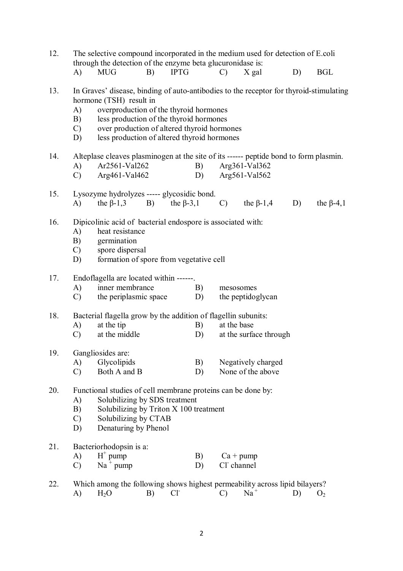| 12. |                                       | The selective compound incorporated in the medium used for detection of E.coli<br>through the detection of the enzyme beta glucuronidase is:                                                                                                                                                         |    |                |          |                           |                                         |    |                  |
|-----|---------------------------------------|------------------------------------------------------------------------------------------------------------------------------------------------------------------------------------------------------------------------------------------------------------------------------------------------------|----|----------------|----------|---------------------------|-----------------------------------------|----|------------------|
|     | $\bf{A}$                              | <b>MUG</b>                                                                                                                                                                                                                                                                                           | B) | <b>IPTG</b>    |          | $\mathcal{C}$             | X gal                                   | D) | <b>BGL</b>       |
| 13. | $\bf{A}$<br>B)<br>$\mathcal{C}$<br>D) | In Graves' disease, binding of auto-antibodies to the receptor for thyroid-stimulating<br>hormone (TSH) result in<br>overproduction of the thyroid hormones<br>less production of the thyroid hormones<br>over production of altered thyroid hormones<br>less production of altered thyroid hormones |    |                |          |                           |                                         |    |                  |
| 14. | A)<br>$\mathcal{C}$                   | Alteplase cleaves plasminogen at the site of its ------ peptide bond to form plasmin.<br>Ar2561-Val262<br>Arg461-Val462                                                                                                                                                                              |    |                | B)<br>D) |                           | Arg361-Val362<br>Arg561-Val562          |    |                  |
| 15. | A)                                    | Lysozyme hydrolyzes ----- glycosidic bond.<br>the $\beta$ -1,3 B) the $\beta$ -3,1                                                                                                                                                                                                                   |    |                |          | $\mathcal{C}$             | the $\beta$ -1,4                        | D) | the $\beta$ -4,1 |
| 16. | A)<br>B)<br>$\mathcal{C}$<br>D)       | Dipicolinic acid of bacterial endospore is associated with:<br>heat resistance<br>germination<br>spore dispersal<br>formation of spore from vegetative cell                                                                                                                                          |    |                |          |                           |                                         |    |                  |
| 17. | A)<br>$\mathcal{C}$                   | Endoflagella are located within ------.<br>inner membrance<br>the periplasmic space D)                                                                                                                                                                                                               |    |                | B)       | mesosomes                 | the peptidoglycan                       |    |                  |
| 18. | A)<br>$\mathcal{C}$                   | Bacterial flagella grow by the addition of flagellin subunits:<br>at the tip<br>at the middle                                                                                                                                                                                                        |    |                | B)<br>D) | at the base               | at the surface through                  |    |                  |
| 19. | A)<br>$\mathcal{C}$                   | Gangliosides are:<br>Glycolipids<br>Both A and B                                                                                                                                                                                                                                                     |    |                | B)<br>D) |                           | Negatively charged<br>None of the above |    |                  |
| 20. | A)<br>B)<br>$\mathcal{C}$<br>D)       | Functional studies of cell membrane proteins can be done by:<br>Solubilizing by SDS treatment<br>Solubilizing by Triton X 100 treatment<br>Solubilizing by CTAB<br>Denaturing by Phenol                                                                                                              |    |                |          |                           |                                         |    |                  |
| 21. | A)<br>$\mathcal{C}$                   | Bacteriorhodopsin is a:<br>$H^+$ pump<br>$Na^+$ pump                                                                                                                                                                                                                                                 |    |                | B)<br>D) | $Ca + pump$<br>Cl channel |                                         |    |                  |
| 22. | A)                                    | Which among the following shows highest permeability across lipid bilayers?<br>$H_2O$                                                                                                                                                                                                                | B) | $Cl^{\dagger}$ |          | $\mathcal{C}$             | $Na^+$                                  | D) | O <sub>2</sub>   |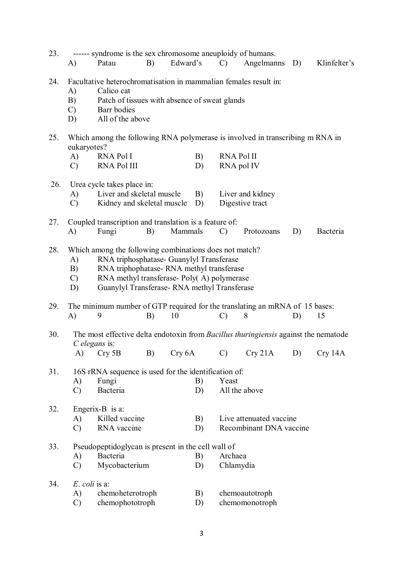| 23. | A)                                        | ------ syndrome is the sex chromosome aneuploidy of humans.<br>Patau                                                                                                                                                                       | B) | Edward's |          | $\mathcal{C}$                   | Angelmanns                                         | D) | Klinfelter's |
|-----|-------------------------------------------|--------------------------------------------------------------------------------------------------------------------------------------------------------------------------------------------------------------------------------------------|----|----------|----------|---------------------------------|----------------------------------------------------|----|--------------|
| 24. | $\mathbf{A}$<br>B)<br>$\mathcal{C}$<br>D) | Facultative heterochromatisation in mammalian females result in:<br>Calico cat<br>Patch of tissues with absence of sweat glands<br>Barr bodies<br>All of the above                                                                         |    |          |          |                                 |                                                    |    |              |
| 25. | eukaryotes?                               | Which among the following RNA polymerase is involved in transcribing m RNA in                                                                                                                                                              |    |          |          |                                 |                                                    |    |              |
|     | A)<br>$\mathcal{C}$                       | <b>RNA Pol I</b><br><b>RNA Pol III</b>                                                                                                                                                                                                     |    |          | B)<br>D) | <b>RNA Pol II</b><br>RNA pol IV |                                                    |    |              |
| 26. | A)<br>C)                                  | Urea cycle takes place in:<br>Liver and skeletal muscle<br>Kidney and skeletal muscle                                                                                                                                                      |    |          | B)<br>D) |                                 | Liver and kidney<br>Digestive tract                |    |              |
| 27. | A)                                        | Coupled transcription and translation is a feature of:<br>Fungi                                                                                                                                                                            | B) | Mammals  |          | $\mathcal{C}$                   | Protozoans                                         | D) | Bacteria     |
| 28. | A)<br>B)<br>$\mathcal{C}$<br>D)           | Which among the following combinations does not match?<br>RNA triphosphatase- Guanylyl Transferase<br>RNA triphophatase-RNA methyl transferase<br>RNA methyl transferase-Poly(A) polymerase<br>Guanylyl Transferase-RNA methyl Transferase |    |          |          |                                 |                                                    |    |              |
| 29. | $\mathbf{A}$                              | The minimum number of GTP required for the translating an mRNA of 15 bases:<br>9                                                                                                                                                           | B) | 10       |          | $\mathcal{C}$                   | 8                                                  | D) | 15           |
| 30. | $C$ elegans is:<br>A)                     | The most effective delta endotoxin from <i>Bacillus thuringiensis</i> against the nematode<br>Cry 5B                                                                                                                                       | B) | Cry 6A   |          | $\mathcal{C}$                   | Cry 21A                                            | D) | Cry 14A      |
| 31. | A)<br>$\mathcal{C}$                       | 16S rRNA sequence is used for the identification of:<br>Fungi<br>Bacteria                                                                                                                                                                  |    |          | B)<br>D) | Yeast                           | All the above                                      |    |              |
| 32. | A)<br>$\mathcal{C}$                       | Engerix-B is $a$ :<br>Killed vaccine<br>RNA vaccine                                                                                                                                                                                        |    |          | B)<br>D) |                                 | Live attenuated vaccine<br>Recombinant DNA vaccine |    |              |
| 33. | A)<br>$\mathcal{C}$                       | Pseudopeptidoglycan is present in the cell wall of<br>Bacteria<br>Mycobacterium                                                                                                                                                            |    |          | B)<br>D) | Archaea<br>Chlamydia            |                                                    |    |              |
| 34. | $E.$ coli is a:<br>A)<br>$\mathcal{C}$    | chemoheterotroph<br>chemophototroph                                                                                                                                                                                                        |    |          | B)<br>D) |                                 | chemoautotroph<br>chemomonotroph                   |    |              |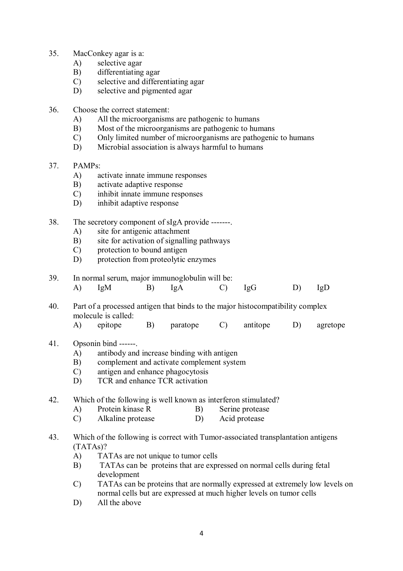- 35. MacConkey agar is a:
	- A) selective agar
	- B) differentiating agar
	- C) selective and differentiating agar
	- D) selective and pigmented agar
- 36. Choose the correct statement:
	- A) All the microorganisms are pathogenic to humans
	- B) Most of the microorganisms are pathogenic to humans
	- C) Only limited number of microorganisms are pathogenic to humans
	- D) Microbial association is always harmful to humans
- 37. PAMPs:
	- A) activate innate immune responses
	- B) activate adaptive response<br>C) inhibit innate immune resp
	- inhibit innate immune responses
	- D) inhibit adaptive response
- 38. The secretory component of sIgA provide -------.
	- A) site for antigenic attachment
	- B) site for activation of signalling pathways
	- C) protection to bound antigen
	- D) protection from proteolytic enzymes

## 39. In normal serum, major immunoglobulin will be:<br>A)  $IgM$  B)  $IgA$  C)

- A) IgM B) IgA C) IgG D) IgD
- 40. Part of a processed antigen that binds to the major histocompatibility complex molecule is called:
	- A) epitope B) paratope C) antitope D) agretope
- 41. Opsonin bind ------.
	- A) antibody and increase binding with antigen
	- B) complement and activate complement system
	- C) antigen and enhance phagocytosis
	- D) TCR and enhance TCR activation
- 42. Which of the following is well known as interferon stimulated?
	- A) Protein kinase R B) Serine protease
	- C) Alkaline protease D) Acid protease
- 43. Which of the following is correct with Tumor-associated transplantation antigens (TATAs)?
	- A) TATAs are not unique to tumor cells
	- B) TATAs can be proteins that are expressed on normal cells during fetal development
	- C) TATAs can be proteins that are normally expressed at extremely low levels on normal cells but are expressed at much higher levels on tumor cells
	- D) All the above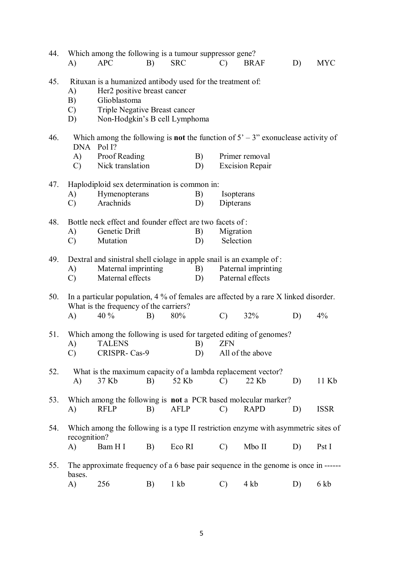| 44. | A)                                | Which among the following is a tumour suppressor gene?<br><b>APC</b>                                                                                                        | B) | <b>SRC</b>       |          | $\mathcal{C}$           | <b>BRAF</b>                              | D) | <b>MYC</b>  |
|-----|-----------------------------------|-----------------------------------------------------------------------------------------------------------------------------------------------------------------------------|----|------------------|----------|-------------------------|------------------------------------------|----|-------------|
| 45. | A)<br>B)<br>$\mathcal{C}$ )<br>D) | Rituxan is a humanized antibody used for the treatment of:<br>Her2 positive breast cancer<br>Glioblastoma<br>Triple Negative Breast cancer<br>Non-Hodgkin's B cell Lymphoma |    |                  |          |                         |                                          |    |             |
| 46. |                                   | Which among the following is <b>not</b> the function of $5' - 3''$ exonuclease activity of<br>DNA Pol I?                                                                    |    |                  |          |                         |                                          |    |             |
|     | A)<br>$\mathcal{C}$               | Proof Reading<br>Nick translation                                                                                                                                           |    |                  | B)<br>D) |                         | Primer removal<br><b>Excision Repair</b> |    |             |
| 47. |                                   | Haplodiploid sex determination is common in:                                                                                                                                |    |                  |          |                         |                                          |    |             |
|     | A)<br>$\mathcal{C}$               | Hymenopterans<br>Arachnids                                                                                                                                                  |    |                  | B)<br>D) | Isopterans<br>Dipterans |                                          |    |             |
|     |                                   |                                                                                                                                                                             |    |                  |          |                         |                                          |    |             |
| 48. |                                   | Bottle neck effect and founder effect are two facets of:                                                                                                                    |    |                  |          |                         |                                          |    |             |
|     | A)                                | Genetic Drift<br>Mutation                                                                                                                                                   |    |                  | B)       | Migration<br>Selection  |                                          |    |             |
|     | $\mathcal{C}$                     |                                                                                                                                                                             |    |                  | D)       |                         |                                          |    |             |
| 49. |                                   | Dextral and sinistral shell ciolage in apple snail is an example of :                                                                                                       |    |                  |          |                         |                                          |    |             |
|     | A)                                | Maternal imprinting                                                                                                                                                         |    |                  | B)       |                         | Paternal imprinting                      |    |             |
|     | $\mathcal{C}$                     | Maternal effects                                                                                                                                                            |    |                  | D)       |                         | Paternal effects                         |    |             |
| 50. |                                   | In a particular population, $4\%$ of females are affected by a rare X linked disorder.<br>What is the frequency of the carriers?                                            |    |                  |          |                         |                                          |    |             |
|     | A)                                | 40 %                                                                                                                                                                        | B) | 80%              |          | $\mathbf{C}$            | 32%                                      | D) | 4%          |
| 51. | A)                                | Which among the following is used for targeted editing of genomes?<br><b>TALENS</b>                                                                                         |    |                  | B)       | <b>ZFN</b>              |                                          |    |             |
|     | $\mathcal{C}$                     | CRISPR- Cas-9                                                                                                                                                               |    |                  | D)       |                         | All of the above                         |    |             |
| 52. | $\bf{A}$                          | What is the maximum capacity of a lambda replacement vector?<br>37 Kb                                                                                                       | B) | 52 Kb            |          | $\mathcal{C}$           | 22 Kb                                    | D) | 11 Kb       |
| 53. |                                   | Which among the following is not a PCR based molecular marker?                                                                                                              |    |                  |          |                         |                                          |    |             |
|     | A)                                | <b>RFLP</b>                                                                                                                                                                 | B) | <b>AFLP</b>      |          | $\mathcal{C}$           | <b>RAPD</b>                              | D) | <b>ISSR</b> |
| 54. | recognition?                      | Which among the following is a type II restriction enzyme with asymmetric sites of                                                                                          |    |                  |          |                         |                                          |    |             |
|     | A)                                | Bam H I                                                                                                                                                                     | B) | Eco RI           |          | $\mathcal{C}$           | Mbo II                                   | D) | Pst I       |
| 55. |                                   | The approximate frequency of a 6 base pair sequence in the genome is once in ------                                                                                         |    |                  |          |                         |                                          |    |             |
|     | bases.<br>A)                      | 256                                                                                                                                                                         | B) | $1 \; \text{kb}$ |          | $\mathcal{C}$           | 4 kb                                     | D) | 6 kb        |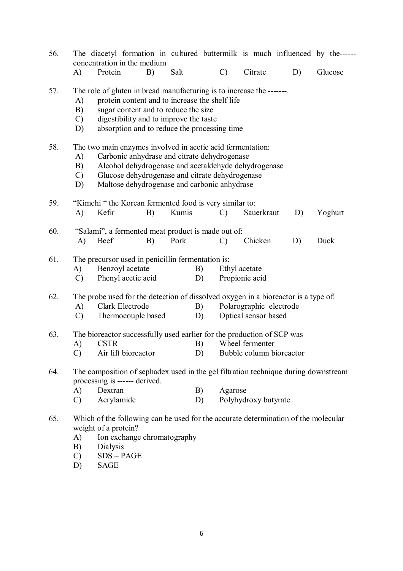| 56. |                                 | The diacetyl formation in cultured buttermilk is much influenced by the------<br>concentration in the medium                                                                                                                                                          |    |       |               |                                 |                      |                          |         |
|-----|---------------------------------|-----------------------------------------------------------------------------------------------------------------------------------------------------------------------------------------------------------------------------------------------------------------------|----|-------|---------------|---------------------------------|----------------------|--------------------------|---------|
|     | A)                              | Protein                                                                                                                                                                                                                                                               | B) | Salt  | $\mathcal{C}$ |                                 | Citrate              | D)                       | Glucose |
| 57. | A)<br>B)<br>$\mathcal{C}$<br>D) | The role of gluten in bread manufacturing is to increase the -------<br>protein content and to increase the shelf life<br>sugar content and to reduce the size<br>digestibility and to improve the taste<br>absorption and to reduce the processing time              |    |       |               |                                 |                      |                          |         |
| 58. | A)<br>B)<br>$\mathcal{C}$<br>D) | The two main enzymes involved in acetic acid fermentation:<br>Carbonic anhydrase and citrate dehydrogenase<br>Alcohol dehydrogenase and acetaldehyde dehydrogenase<br>Glucose dehydrogenase and citrate dehydrogenase<br>Maltose dehydrogenase and carbonic anhydrase |    |       |               |                                 |                      |                          |         |
| 59. | A)                              | "Kimchi" the Korean fermented food is very similar to:<br>Kefir                                                                                                                                                                                                       | B) | Kumis | $\mathcal{C}$ |                                 | Sauerkraut           | D)                       | Yoghurt |
| 60. | A)                              | "Salami", a fermented meat product is made out of:<br>Beef                                                                                                                                                                                                            | B) | Pork  | $\mathcal{C}$ |                                 | Chicken              | D)                       | Duck    |
| 61. | A)<br>$\mathcal{C}$             | The precursor used in penicillin fermentation is:<br>Benzoyl acetate<br>Phenyl acetic acid                                                                                                                                                                            |    |       | B)<br>D)      | Ethyl acetate<br>Propionic acid |                      |                          |         |
| 62. | A)<br>$\mathcal{C}$             | The probe used for the detection of dissolved oxygen in a bioreactor is a type of.<br>Clark Electrode<br>Thermocouple based                                                                                                                                           |    |       | B)<br>D)      |                                 | Optical sensor based | Polarographic electrode  |         |
| 63. | A)<br>C)                        | The bioreactor successfully used earlier for the production of SCP was<br><b>CSTR</b><br>Air lift bioreactor                                                                                                                                                          |    |       | B)<br>D)      |                                 | Wheel fermenter      | Bubble column bioreactor |         |
| 64. | A)<br>$\mathcal{C}$             | The composition of sephadex used in the gel filtration technique during downstream<br>processing is ------ derived.<br>Dextran<br>Acrylamide                                                                                                                          |    |       | B)<br>D)      | Agarose                         | Polyhydroxy butyrate |                          |         |
| 65. | A)                              | Which of the following can be used for the accurate determination of the molecular<br>weight of a protein?<br>Ion exchange chromatography                                                                                                                             |    |       |               |                                 |                      |                          |         |

- B) Dialysis
- C) SDS PAGE
- D) SAGE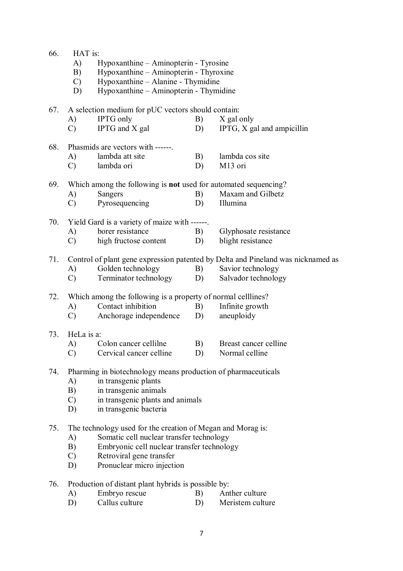| 66. | HAT is:       |                                                                        |    |                                                                                  |
|-----|---------------|------------------------------------------------------------------------|----|----------------------------------------------------------------------------------|
|     | A)            | Hypoxanthine – Aminopterin - Tyrosine                                  |    |                                                                                  |
|     | B)            | Hypoxanthine - Aminopterin - Thyroxine                                 |    |                                                                                  |
|     | $\mathcal{C}$ | Hypoxanthine - Alanine - Thymidine                                     |    |                                                                                  |
|     | D)            | Hypoxanthine - Aminopterin - Thymidine                                 |    |                                                                                  |
| 67. |               | A selection medium for pUC vectors should contain:                     |    |                                                                                  |
|     | A)            | <b>IPTG</b> only                                                       | B) | X gal only                                                                       |
|     | $\mathcal{C}$ | IPTG and X gal                                                         | D) | IPTG, X gal and ampicillin                                                       |
| 68. |               | Phasmids are vectors with ------                                       |    |                                                                                  |
|     | A)            | lambda att site                                                        | B) | lambda cos site                                                                  |
|     | $\mathcal{C}$ | lambda ori                                                             | D) | M <sub>13</sub> ori                                                              |
| 69. |               | Which among the following is <b>not</b> used for automated sequencing? |    |                                                                                  |
|     | A)            | Sangers                                                                | B) | Maxam and Gilbetz                                                                |
|     | $\mathcal{C}$ | Pyrosequencing                                                         | D) | Illumina                                                                         |
| 70. |               | Yield Gard is a variety of maize with ------.                          |    |                                                                                  |
|     | A)            | borer resistance                                                       | B) | Glyphosate resistance                                                            |
|     | $\mathcal{C}$ | high fructose content                                                  | D) | blight resistance                                                                |
| 71. |               |                                                                        |    | Control of plant gene expression patented by Delta and Pineland was nicknamed as |
|     | A)            | Golden technology                                                      | B) | Savior technology                                                                |
|     | $\mathcal{C}$ | Terminator technology                                                  | D) | Salvador technology                                                              |
| 72. |               | Which among the following is a property of normal celllines?           |    |                                                                                  |
|     | A)            | Contact inhibition                                                     | B) | Infinite growth                                                                  |
|     | C)            | Anchorage independence                                                 | D) | aneuploidy                                                                       |
| 73. | HeLa is a:    |                                                                        |    |                                                                                  |
|     | A)            | Colon cancer cellilne                                                  | B) | Breast cancer celline                                                            |
|     |               | C) Cervical cancer celline                                             | D) | Normal celline                                                                   |
| 74. |               | Pharming in biotechnology means production of pharmaceuticals          |    |                                                                                  |
|     | A)            | in transgenic plants                                                   |    |                                                                                  |
|     | B)            | in transgenic animals                                                  |    |                                                                                  |
|     | $\mathcal{C}$ | in transgenic plants and animals                                       |    |                                                                                  |
|     | D)            | in transgenic bacteria                                                 |    |                                                                                  |
| 75. |               | The technology used for the creation of Megan and Morag is:            |    |                                                                                  |
|     | A)            | Somatic cell nuclear transfer technology                               |    |                                                                                  |
|     | B)            | Embryonic cell nuclear transfer technology                             |    |                                                                                  |
|     | $\mathcal{C}$ | Retroviral gene transfer                                               |    |                                                                                  |
|     | D)            | Pronuclear micro injection                                             |    |                                                                                  |
| 76. |               | Production of distant plant hybrids is possible by:                    |    |                                                                                  |
|     |               | п.                                                                     |    |                                                                                  |

A) Embryo rescue B) Anther culture<br>
D) Callus culture B) Meristem culture Meristem culture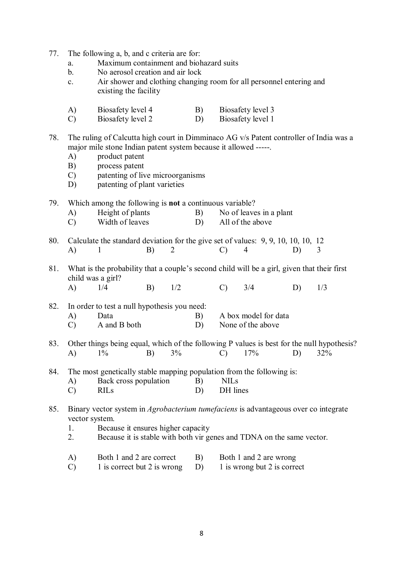77. The following a, b, and c criteria are for:

- a. Maximum containment and biohazard suits
- b. No aerosol creation and air lock
- c. Air shower and clothing changing room for all personnel entering and existing the facility
- A) Biosafety level 4 B) Biosafety level 3
- C) Biosafety level 2 D) Biosafety level 1
- 78. The ruling of Calcutta high court in Dimminaco AG v/s Patent controller of India was a major mile stone Indian patent system because it allowed -----.
	- A) product patent
	- B) process patent
	- C) patenting of live microorganisms
	- D) patenting of plant varieties
- 79. Which among the following is **not** a continuous variable?
	- A) Height of plants B) No of leaves in a plant
	- C) Width of leaves D) All of the above
- 80. Calculate the standard deviation for the give set of values: 9, 9, 10, 10, 10, 12 A) 1 B) 2 C) 4 D) 3
- 81. What is the probability that a couple's second child will be a girl, given that their first child was a girl?
	- A) 1/4 B) 1/2 C) 3/4 D) 1/3

82. In order to test a null hypothesis you need:

| A) | Data |  | A box model for data |
|----|------|--|----------------------|
|    |      |  |                      |

- C) A and B both D) None of the above
- 83. Other things being equal, which of the following P values is best for the null hypothesis? A) 1% B) 3% C) 17% D) 32%
- 84. The most genetically stable mapping population from the following is:
	- A) Back cross population B) NILs
	- C) RILs D) DH lines
- 85. Binary vector system in *Agrobacterium tumefaciens* is advantageous over co integrate vector system.
	- 1. Because it ensures higher capacity
	- 2. Because it is stable with both vir genes and TDNA on the same vector.
	- A) Both 1 and 2 are correct B) Both 1 and 2 are wrong
	- C) 1 is correct but 2 is wrong D) 1 is wrong but 2 is correct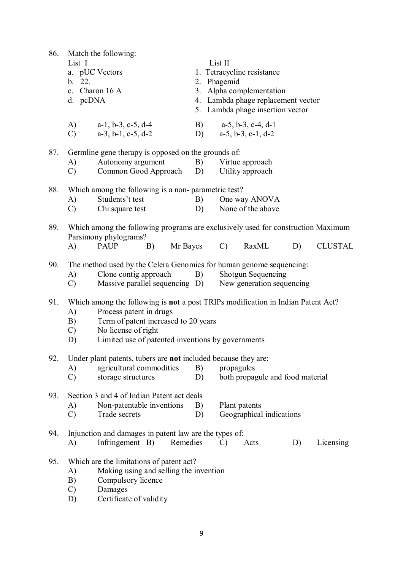86. Match the following: List I List II a. pUC Vectors 1. Tetracycline resistance b. 22. 2. Phagemid c. Charon 16 A 3. Alpha complementation d. pcDNA 4. Lambda phage replacement vector 5. Lambda phage insertion vector A) a-1, b-3, c-5, d-4 B) a-5, b-3, c-4, d-1 C) a-3, b-1, c-5, d-2 D) a-5, b-3, c-1, d-2 87. Germline gene therapy is opposed on the grounds of: A) Autonomy argument B) Virtue approach<br>
C) Common Good Approach D) Utility approach  $(C)$  Common Good Approach  $D$ ) 88. Which among the following is a non- parametric test? A) Students't test B) One way ANOVA C) Chi square test D) None of the above 89. Which among the following programs are exclusively used for construction Maximum Parsimony phylograms? A) PAUP B) Mr Bayes C) RaxML D) CLUSTAL 90. The method used by the Celera Genomics for human genome sequencing: A) Clone contig approach B) Shotgun Sequencing C) Massive parallel sequencing D) New generation sequencing 91. Which among the following is **not** a post TRIPs modification in Indian Patent Act? A) Process patent in drugs B) Term of patent increased to 20 years C) No license of right D) Limited use of patented inventions by governments 92. Under plant patents, tubers are **not** included because they are: A) agricultural commodities B) propagules C) storage structures D) both propagule and food material 93. Section 3 and 4 of Indian Patent act deals A) Non-patentable inventions B) Plant patents C) Trade secrets D) Geographical indications 94. Injunction and damages in patent law are the types of: A) Infringement B) Remedies C) Acts D) Licensing 95. Which are the limitations of patent act? A) Making using and selling the invention B) Compulsory licence C) Damages D) Certificate of validity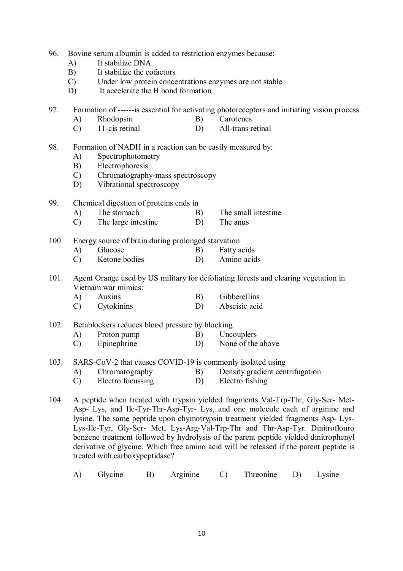- 96. Bovine serum albumin is added to restriction enzymes because:
	- A) It stabilize DNA
	- B) It stabilize the cofactors<br>C) Under low protein conce
	- Under low protein concentrations enzymes are not stable
	- D) It accelerate the H bond formation

97. Formation of ------is essential for activating photoreceptors and initiating vision process.

- A) Rhodopsin B) Carotenes
- C) 11-cis retinal D) All-trans retinal
- 98. Formation of NADH in a reaction can be easily measured by:
	- A) Spectrophotometry
	- B) Electrophoresis
	- C) Chromatography-mass spectroscopy
	- D) Vibrational spectroscopy
- 99. Chemical digestion of proteins ends in
	- A) The stomach B) The small intestine
	- C) The large intestine D) The anus

100. Energy source of brain during prolonged starvation

- A) Glucose B) Fatty acids
- C) Ketone bodies D) Amino acids
- 101. Agent Orange used by US military for defoliating forests and clearing vegetation in Vietnam war mimics:
	- A) Auxins B) Gibberellins C) Cytokinins D) Abscisic acid

102. Betablockers reduces blood pressure by blocking

- A) Proton pump B) Uncouplers
- C) Epinephrine D) None of the above
- 103. SARS-CoV-2 that causes COVID-19 is commonly isolated using
	- A) Chromatography B) Density gradient centrifugation
	- C) Electro focussing D) Electro fishing
- 104 A peptide when treated with trypsin yielded fragments Val-Trp-Thr, Gly-Ser- Met-Asp- Lys, and Ile-Tyr-Thr-Asp-Tyr- Lys, and one molecule each of arginine and lysine. The same peptide upon chymotrypsin treatment yielded fragments Asp- Lys-Lys-Ile-Tyr, Gly-Ser- Met, Lys-Arg-Val-Trp-Thr and Thr-Asp-Tyr. Dinitroflouro benzene treatment followed by hydrolysis of the parent peptide yielded dinitrophenyl derivative of glycine. Which free amino acid will be released if the parent peptide is treated with carboxypeptidase?
	- A) Glycine B) Arginine C) Threonine D) Lysine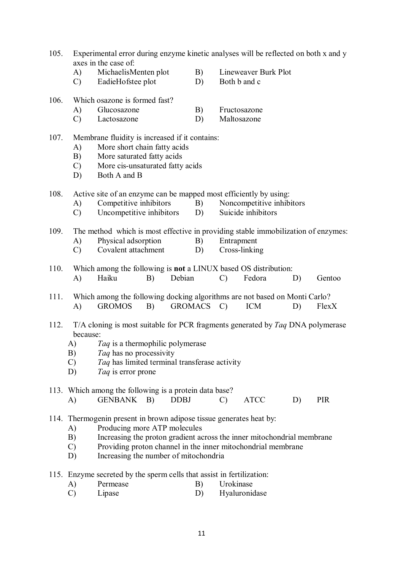- 105. Experimental error during enzyme kinetic analyses will be reflected on both x and y axes in the case of:
	- A) MichaelisMenten plot B) Lineweaver Burk Plot
	- C) EadieHofstee plot D) Both b and c
- 106. Which osazone is formed fast?
	- A) Glucosazone B) Fructosazone
	- C) Lactosazone D) Maltosazone
- 107. Membrane fluidity is increased if it contains:
	- A) More short chain fatty acids
	- B) More saturated fatty acids
	- C) More cis-unsaturated fatty acids
	- D) Both A and B
- 108. Active site of an enzyme can be mapped most efficiently by using:
	- A) Competitive inhibitors B) Noncompetitive inhibitors
	- C) Uncompetitive inhibitors D) Suicide inhibitors
- 109. The method which is most effective in providing stable immobilization of enzymes:
	- A) Physical adsorption B) Entrapment
	- C) Covalent attachment D) Cross-linking
- 110. Which among the following is **not** a LINUX based OS distribution: A) Haiku B) Debian C) Fedora D) Gentoo
- 111. Which among the following docking algorithms are not based on Monti Carlo? A) GROMOS B) GROMACS C) ICM D) FlexX
- 112. T/A cloning is most suitable for PCR fragments generated by *Taq* DNA polymerase because:
	- A) *Taq* is a thermophilic polymerase
	- B) *Taq* has no processivity
	- C) *Taq* has limited terminal transferase activity
	- D) *Taq* is error prone
- 113. Which among the following is a protein data base? A) GENBANK B) DDBJ C) ATCC D) PIR
- 114. Thermogenin present in brown adipose tissue generates heat by:
	- A) Producing more ATP molecules
	- B) Increasing the proton gradient across the inner mitochondrial membrane
	- C) Providing proton channel in the inner mitochondrial membrane
	- D) Increasing the number of mitochondria
- 115. Enzyme secreted by the sperm cells that assist in fertilization:
	- A) Permease B) Urokinase
	- C) Lipase D) Hyaluronidase